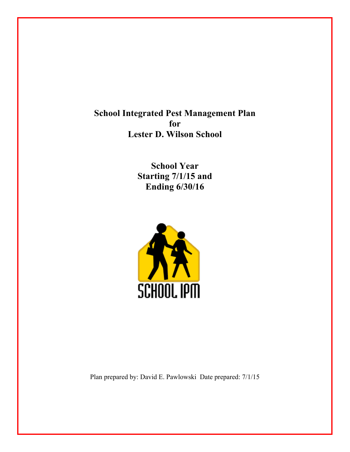**School Integrated Pest Management Plan for Lester D. Wilson School**

> **School Year Starting 7/1/15 and Ending 6/30/16**



Plan prepared by: David E. Pawlowski Date prepared: 7/1/15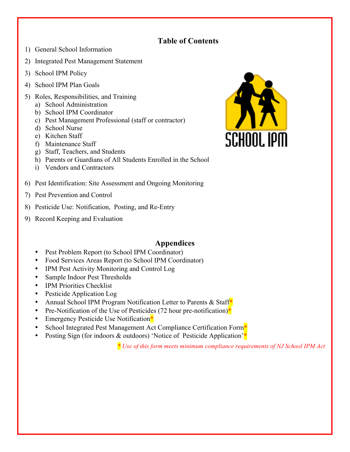### **Table of Contents**

- 1) General School Information
- 2) Integrated Pest Management Statement
- 3) School IPM Policy
- 4) School IPM Plan Goals
- 5) Roles, Responsibilities, and Training
	- a) School Administration
	- b) School IPM Coordinator
	- c) Pest Management Professional (staff or contractor)
	- d) School Nurse
	- e) Kitchen Staff
	- f) Maintenance Staff
	- g) Staff, Teachers, and Students
	- h) Parents or Guardians of All Students Enrolled in the School
	- i) Vendors and Contractors
- 6) Pest Identification: Site Assessment and Ongoing Monitoring
- 7) Pest Prevention and Control
- 8) Pesticide Use: Notification, Posting, and Re-Entry
- 9) Record Keeping and Evaluation

#### **Appendices**

- Pest Problem Report (to School IPM Coordinator)
- Food Services Areas Report (to School IPM Coordinator)
- IPM Pest Activity Monitoring and Control Log
- Sample Indoor Pest Thresholds
- IPM Priorities Checklist
- Pesticide Application Log
- Annual School IPM Program Notification Letter to Parents & Staff**\***
- Pre-Notification of the Use of Pesticides (72 hour pre-notification)<sup>\*</sup>
- Emergency Pesticide Use Notification**\***
- School Integrated Pest Management Act Compliance Certification Form**\***
- Posting Sign (for indoors & outdoors) 'Notice of Pesticide Application'**\***

*\* Use of this form meets minimum compliance requirements of NJ School IPM Act*

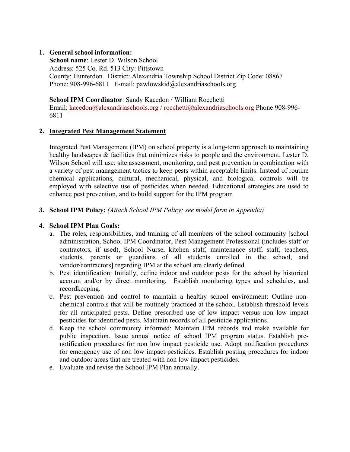#### **1. General school information:**

**School name**: Lester D. Wilson School Address: 525 Co. Rd. 513 City: Pittstown County: Hunterdon District: Alexandria Township School District Zip Code: 08867 Phone: 908-996-6811 E-mail: pawlowskid@alexandriaschools.org

**School IPM Coordinator**: Sandy Kacedon / William Rocchetti

Email: kacedon@alexandriaschools.org / rocchetti@alexandriaschools.org Phone:908-996-6811

#### **2. Integrated Pest Management Statement**

Integrated Pest Management (IPM) on school property is a long-term approach to maintaining healthy landscapes & facilities that minimizes risks to people and the environment. Lester D. Wilson School will use: site assessment, monitoring, and pest prevention in combination with a variety of pest management tactics to keep pests within acceptable limits. Instead of routine chemical applications, cultural, mechanical, physical, and biological controls will be employed with selective use of pesticides when needed. Educational strategies are used to enhance pest prevention, and to build support for the IPM program

#### **3. School IPM Policy:** *(Attach School IPM Policy; see model form in Appendix)*

#### **4. School IPM Plan Goals:**

- a. The roles, responsibilities, and training of all members of the school community [school administration, School IPM Coordinator, Pest Management Professional (includes staff or contractors, if used), School Nurse, kitchen staff, maintenance staff, staff, teachers, students, parents or guardians of all students enrolled in the school, and vendor/contractors] regarding IPM at the school are clearly defined.
- b. Pest identification: Initially, define indoor and outdoor pests for the school by historical account and/or by direct monitoring. Establish monitoring types and schedules, and recordkeeping.
- c. Pest prevention and control to maintain a healthy school environment: Outline nonchemical controls that will be routinely practiced at the school. Establish threshold levels for all anticipated pests. Define prescribed use of low impact versus non low impact pesticides for identified pests. Maintain records of all pesticide applications.
- d. Keep the school community informed: Maintain IPM records and make available for public inspection. Issue annual notice of school IPM program status. Establish prenotification procedures for non low impact pesticide use. Adopt notification procedures for emergency use of non low impact pesticides. Establish posting procedures for indoor and outdoor areas that are treated with non low impact pesticides.
- e. Evaluate and revise the School IPM Plan annually.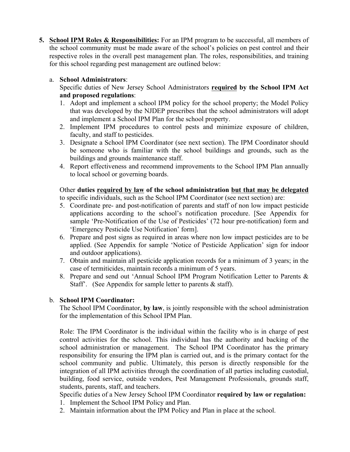**5. School IPM Roles & Responsibilities:** For an IPM program to be successful, all members of the school community must be made aware of the school's policies on pest control and their respective roles in the overall pest management plan. The roles, responsibilities, and training for this school regarding pest management are outlined below:

#### a. **School Administrators**:

Specific duties of New Jersey School Administrators **required by the School IPM Act and proposed regulations**:

- 1. Adopt and implement a school IPM policy for the school property; the Model Policy that was developed by the NJDEP prescribes that the school administrators will adopt and implement a School IPM Plan for the school property.
- 2. Implement IPM procedures to control pests and minimize exposure of children, faculty, and staff to pesticides.
- 3. Designate a School IPM Coordinator (see next section). The IPM Coordinator should be someone who is familiar with the school buildings and grounds, such as the buildings and grounds maintenance staff.
- 4. Report effectiveness and recommend improvements to the School IPM Plan annually to local school or governing boards.

#### Other **duties required by law of the school administration but that may be delegated** to specific individuals, such as the School IPM Coordinator (see next section) are:

- 5. Coordinate pre- and post-notification of parents and staff of non low impact pesticide applications according to the school's notification procedure. [See Appendix for sample 'Pre-Notification of the Use of Pesticides' (72 hour pre-notification) form and 'Emergency Pesticide Use Notification' form].
- 6. Prepare and post signs as required in areas where non low impact pesticides are to be applied. (See Appendix for sample 'Notice of Pesticide Application' sign for indoor and outdoor applications).
- 7. Obtain and maintain all pesticide application records for a minimum of 3 years; in the case of termiticides, maintain records a minimum of 5 years.
- 8. Prepare and send out 'Annual School IPM Program Notification Letter to Parents & Staff'. (See Appendix for sample letter to parents & staff).

#### b. **School IPM Coordinator:**

The School IPM Coordinator, **by law**, is jointly responsible with the school administration for the implementation of this School IPM Plan.

Role: The IPM Coordinator is the individual within the facility who is in charge of pest control activities for the school. This individual has the authority and backing of the school administration or management. The School IPM Coordinator has the primary responsibility for ensuring the IPM plan is carried out, and is the primary contact for the school community and public. Ultimately, this person is directly responsible for the integration of all IPM activities through the coordination of all parties including custodial, building, food service, outside vendors, Pest Management Professionals, grounds staff, students, parents, staff, and teachers.

Specific duties of a New Jersey School IPM Coordinator **required by law or regulation:**  1. Implement the School IPM Policy and Plan.

2. Maintain information about the IPM Policy and Plan in place at the school.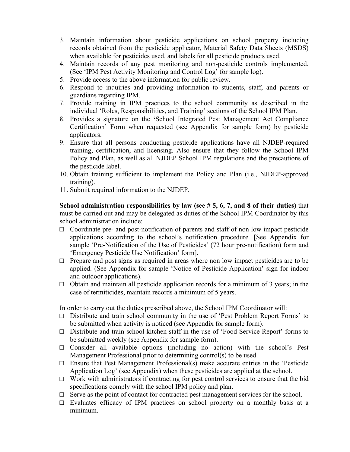- 3. Maintain information about pesticide applications on school property including records obtained from the pesticide applicator, Material Safety Data Sheets (MSDS) when available for pesticides used, and labels for all pesticide products used.
- 4. Maintain records of any pest monitoring and non-pesticide controls implemented. (See 'IPM Pest Activity Monitoring and Control Log' for sample log).
- 5. Provide access to the above information for public review.
- 6. Respond to inquiries and providing information to students, staff, and parents or guardians regarding IPM.
- 7. Provide training in IPM practices to the school community as described in the individual 'Roles, Responsibilities, and Training' sections of the School IPM Plan.
- 8. Provides a signature on the **'**School Integrated Pest Management Act Compliance Certification' Form when requested (see Appendix for sample form) by pesticide applicators.
- 9. Ensure that all persons conducting pesticide applications have all NJDEP-required training, certification, and licensing. Also ensure that they follow the School IPM Policy and Plan, as well as all NJDEP School IPM regulations and the precautions of the pesticide label.
- 10. Obtain training sufficient to implement the Policy and Plan (i.e., NJDEP-approved training).
- 11. Submit required information to the NJDEP.

**School administration responsibilities by law (see # 5, 6, 7, and 8 of their duties)** that must be carried out and may be delegated as duties of the School IPM Coordinator by this school administration include:

- $\Box$  Coordinate pre- and post-notification of parents and staff of non low impact pesticide applications according to the school's notification procedure. [See Appendix for sample 'Pre-Notification of the Use of Pesticides' (72 hour pre-notification) form and 'Emergency Pesticide Use Notification' form].
- $\Box$  Prepare and post signs as required in areas where non low impact pesticides are to be applied. (See Appendix for sample 'Notice of Pesticide Application' sign for indoor and outdoor applications).
- $\Box$  Obtain and maintain all pesticide application records for a minimum of 3 years; in the case of termiticides, maintain records a minimum of 5 years.

In order to carry out the duties prescribed above, the School IPM Coordinator will:

- $\Box$  Distribute and train school community in the use of 'Pest Problem Report Forms' to be submitted when activity is noticed (see Appendix for sample form).
- □ Distribute and train school kitchen staff in the use of 'Food Service Report' forms to be submitted weekly (see Appendix for sample form).
- $\Box$  Consider all available options (including no action) with the school's Pest Management Professional prior to determining control(s) to be used.
- $\square$  Ensure that Pest Management Professional(s) make accurate entries in the 'Pesticide Application Log' (see Appendix) when these pesticides are applied at the school.
- $\Box$  Work with administrators if contracting for pest control services to ensure that the bid specifications comply with the school IPM policy and plan.
- $\Box$  Serve as the point of contact for contracted pest management services for the school.
- $\Box$  Evaluates efficacy of IPM practices on school property on a monthly basis at a minimum.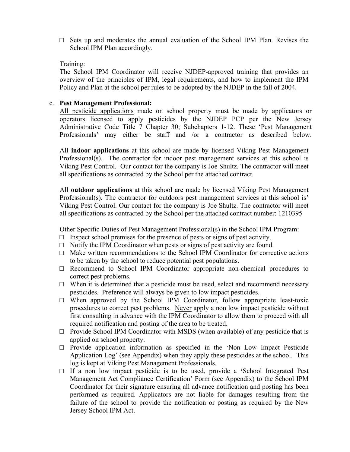$\square$  Sets up and moderates the annual evaluation of the School IPM Plan. Revises the School IPM Plan accordingly.

#### Training:

The School IPM Coordinator will receive NJDEP-approved training that provides an overview of the principles of IPM, legal requirements, and how to implement the IPM Policy and Plan at the school per rules to be adopted by the NJDEP in the fall of 2004.

#### c. **Pest Management Professional:**

All pesticide applications made on school property must be made by applicators or operators licensed to apply pesticides by the NJDEP PCP per the New Jersey Administrative Code Title 7 Chapter 30; Subchapters 1-12. These 'Pest Management Professionals' may either be staff and /or a contractor as described below.

All **indoor applications** at this school are made by licensed Viking Pest Management Professional(s). The contractor for indoor pest management services at this school is Viking Pest Control. Our contact for the company is Joe Shultz. The contractor will meet all specifications as contracted by the School per the attached contract.

All **outdoor applications** at this school are made by licensed Viking Pest Management Professional(s). The contractor for outdoors pest management services at this school is' Viking Pest Control. Our contact for the company is Joe Shultz. The contractor will meet all specifications as contracted by the School per the attached contract number: 1210395

Other Specific Duties of Pest Management Professional(s) in the School IPM Program:

- $\Box$  Inspect school premises for the presence of pests or signs of pest activity.
- $\Box$  Notify the IPM Coordinator when pests or signs of pest activity are found.
- $\Box$  Make written recommendations to the School IPM Coordinator for corrective actions to be taken by the school to reduce potential pest populations.
- $\Box$  Recommend to School IPM Coordinator appropriate non-chemical procedures to correct pest problems.
- $\Box$  When it is determined that a pesticide must be used, select and recommend necessary pesticides. Preference will always be given to low impact pesticides.
- $\square$  When approved by the School IPM Coordinator, follow appropriate least-toxic procedures to correct pest problems. Never apply a non low impact pesticide without first consulting in advance with the IPM Coordinator to allow them to proceed with all required notification and posting of the area to be treated.
- $\Box$  Provide School IPM Coordinator with MSDS (when available) of <u>any</u> pesticide that is applied on school property.
- $\square$  Provide application information as specified in the 'Non Low Impact Pesticide Application Log' (see Appendix) when they apply these pesticides at the school. This log is kept at Viking Pest Management Professionals.
- □ If a non low impact pesticide is to be used, provide a **'**School Integrated Pest Management Act Compliance Certification' Form (see Appendix) to the School IPM Coordinator for their signature ensuring all advance notification and posting has been performed as required. Applicators are not liable for damages resulting from the failure of the school to provide the notification or posting as required by the New Jersey School IPM Act.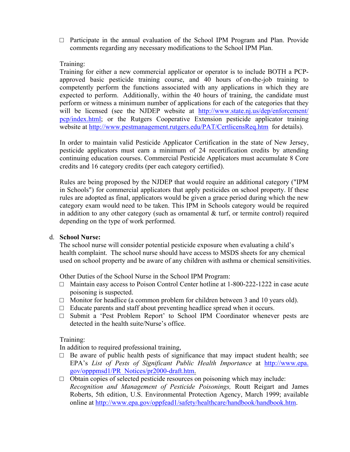$\square$  Participate in the annual evaluation of the School IPM Program and Plan. Provide comments regarding any necessary modifications to the School IPM Plan.

Training:

Training for either a new commercial applicator or operator is to include BOTH a PCPapproved basic pesticide training course, and 40 hours of on-the-job training to competently perform the functions associated with any applications in which they are expected to perform. Additionally, within the 40 hours of training, the candidate must perform or witness a minimum number of applications for each of the categories that they will be licensed (see the NJDEP website at http://www.state.nj.us/dep/enforcement/ pcp/index.html; or the Rutgers Cooperative Extension pesticide applicator training website at http://www.pestmanagement.rutgers.edu/PAT/CertlicensReq.htm for details).

In order to maintain valid Pesticide Applicator Certification in the state of New Jersey, pesticide applicators must earn a minimum of 24 recertification credits by attending continuing education courses. Commercial Pesticide Applicators must accumulate 8 Core credits and 16 category credits (per each category certified).

Rules are being proposed by the NJDEP that would require an additional category ("IPM in Schools") for commercial applicators that apply pesticides on school property. If these rules are adopted as final, applicators would be given a grace period during which the new category exam would need to be taken. This IPM in Schools category would be required in addition to any other category (such as ornamental  $\&$  turf, or termite control) required depending on the type of work performed.

#### d. **School Nurse:**

The school nurse will consider potential pesticide exposure when evaluating a child's health complaint.The school nurse should have access to MSDS sheets for any chemical used on school property and be aware of any children with asthma or chemical sensitivities.

Other Duties of the School Nurse in the School IPM Program:

- □ Maintain easy access to Poison Control Center hotline at 1-800-222-1222 in case acute poisoning is suspected.
- $\Box$  Monitor for headlice (a common problem for children between 3 and 10 years old).
- $\Box$  Educate parents and staff about preventing headlice spread when it occurs.
- □ Submit a 'Pest Problem Report' to School IPM Coordinator whenever pests are detected in the health suite/Nurse's office.

#### Training:

In addition to required professional training,

- $\Box$  Be aware of public health pests of significance that may impact student health; see EPA's *List of Pests of Significant Public Health Importance* at http://www.epa. gov/opppmsd1/PR\_Notices/pr2000-draft.htm.
- $\Box$  Obtain copies of selected pesticide resources on poisoning which may include: *Recognition and Management of Pesticide Poisonings,* Routt Reigart and James Roberts, 5th edition, U.S. Environmental Protection Agency, March 1999; available online at http://www.epa.gov/oppfead1/safety/healthcare/handbook/handbook.htm.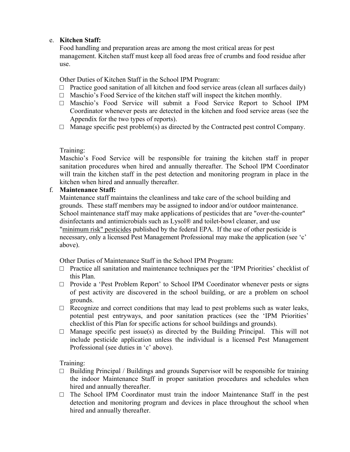#### e. **Kitchen Staff:**

Food handling and preparation areas are among the most critical areas for pest management. Kitchen staff must keep all food areas free of crumbs and food residue after use.

Other Duties of Kitchen Staff in the School IPM Program:

- $\Box$  Practice good sanitation of all kitchen and food service areas (clean all surfaces daily)
- $\Box$  Maschio's Food Service of the kitchen staff will inspect the kitchen monthly.
- □ Maschio's Food Service will submit a Food Service Report to School IPM Coordinator whenever pests are detected in the kitchen and food service areas (see the Appendix for the two types of reports).
- $\Box$  Manage specific pest problem(s) as directed by the Contracted pest control Company.

#### Training:

Maschio's Food Service will be responsible for training the kitchen staff in proper sanitation procedures when hired and annually thereafter. The School IPM Coordinator will train the kitchen staff in the pest detection and monitoring program in place in the kitchen when hired and annually thereafter.

#### f. **Maintenance Staff:**

Maintenance staff maintains the cleanliness and take care of the school building and grounds. These staff members may be assigned to indoor and/or outdoor maintenance. School maintenance staff may make applications of pesticides that are "over-the-counter" disinfectants and antimicrobials such as Lysol® and toilet-bowl cleaner, and use "minimum risk" pesticides published by the federal EPA. If the use of other pesticide is necessary, only a licensed Pest Management Professional may make the application (see 'c' above).

Other Duties of Maintenance Staff in the School IPM Program:

- □ Practice all sanitation and maintenance techniques per the 'IPM Priorities' checklist of this Plan.
- $\Box$  Provide a 'Pest Problem Report' to School IPM Coordinator whenever pests or signs of pest activity are discovered in the school building, or are a problem on school grounds.
- $\Box$  Recognize and correct conditions that may lead to pest problems such as water leaks, potential pest entryways, and poor sanitation practices (see the 'IPM Priorities' checklist of this Plan for specific actions for school buildings and grounds).
- $\Box$  Manage specific pest issue(s) as directed by the Building Principal. This will not include pesticide application unless the individual is a licensed Pest Management Professional (see duties in 'c' above).

Training:

- $\Box$  Building Principal / Buildings and grounds Supervisor will be responsible for training the indoor Maintenance Staff in proper sanitation procedures and schedules when hired and annually thereafter.
- $\Box$  The School IPM Coordinator must train the indoor Maintenance Staff in the pest detection and monitoring program and devices in place throughout the school when hired and annually thereafter.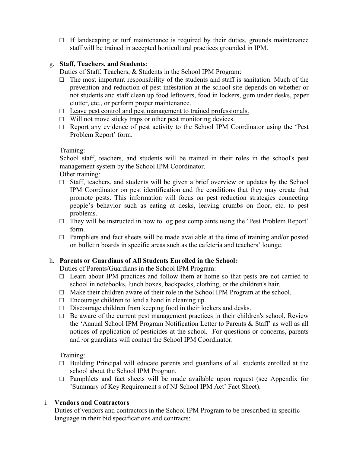$\Box$  If landscaping or turf maintenance is required by their duties, grounds maintenance staff will be trained in accepted horticultural practices grounded in IPM.

#### g. **Staff, Teachers, and Students**:

Duties of Staff, Teachers, & Students in the School IPM Program:

- $\Box$  The most important responsibility of the students and staff is sanitation. Much of the prevention and reduction of pest infestation at the school site depends on whether or not students and staff clean up food leftovers, food in lockers, gum under desks, paper clutter, etc., or perform proper maintenance.
- $\Box$  Leave pest control and pest management to trained professionals.
- $\Box$  Will not move sticky traps or other pest monitoring devices.
- $\Box$  Report any evidence of pest activity to the School IPM Coordinator using the 'Pest Problem Report' form.

#### Training:

School staff, teachers, and students will be trained in their roles in the school's pest management system by the School IPM Coordinator.

Other training:

- $\Box$  Staff, teachers, and students will be given a brief overview or updates by the School IPM Coordinator on pest identification and the conditions that they may create that promote pests. This information will focus on pest reduction strategies connecting people's behavior such as eating at desks, leaving crumbs on floor, etc. to pest problems.
- $\Box$  They will be instructed in how to log pest complaints using the 'Pest Problem Report' form.
- $\Box$  Pamphlets and fact sheets will be made available at the time of training and/or posted on bulletin boards in specific areas such as the cafeteria and teachers' lounge.

#### h. **Parents or Guardians of All Students Enrolled in the School:**

Duties of Parents/Guardians in the School IPM Program:

- $\Box$  Learn about IPM practices and follow them at home so that pests are not carried to school in notebooks, lunch boxes, backpacks, clothing, or the children's hair.
- $\Box$  Make their children aware of their role in the School IPM Program at the school.
- $\Box$  Encourage children to lend a hand in cleaning up.
- $\Box$  Discourage children from keeping food in their lockers and desks.
- $\Box$  Be aware of the current pest management practices in their children's school. Review the 'Annual School IPM Program Notification Letter to Parents & Staff' as well as all notices of application of pesticides at the school. For questions or concerns, parents and /or guardians will contact the School IPM Coordinator.

Training:

- $\Box$  Building Principal will educate parents and guardians of all students enrolled at the school about the School IPM Program.
- $\Box$  Pamphlets and fact sheets will be made available upon request (see Appendix for 'Summary of Key Requirement s of NJ School IPM Act' Fact Sheet).

#### i. **Vendors and Contractors**

Duties of vendors and contractors in the School IPM Program to be prescribed in specific language in their bid specifications and contracts: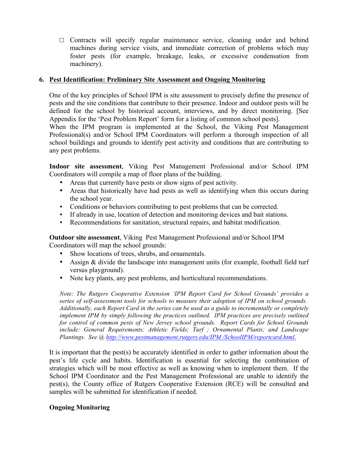$\Box$  Contracts will specify regular maintenance service, cleaning under and behind machines during service visits, and immediate correction of problems which may foster pests (for example, breakage, leaks, or excessive condensation from machinery).

#### **6. Pest Identification: Preliminary Site Assessment and Ongoing Monitoring**

One of the key principles of School IPM is site assessment to precisely define the presence of pests and the site conditions that contribute to their presence. Indoor and outdoor pests will be defined for the school by historical account, interviews, and by direct monitoring. [See Appendix for the 'Pest Problem Report' form for a listing of common school pests].

When the IPM program is implemented at the School, the Viking Pest Management Professional(s) and/or School IPM Coordinators will perform a thorough inspection of all school buildings and grounds to identify pest activity and conditions that are contributing to any pest problems.

**Indoor site assessment**, Viking Pest Management Professional and/or School IPM Coordinators will compile a map of floor plans of the building.

- Areas that currently have pests or show signs of pest activity.
- Areas that historically have had pests as well as identifying when this occurs during the school year.
- Conditions or behaviors contributing to pest problems that can be corrected.
- If already in use, location of detection and monitoring devices and bait stations.
- Recommendations for sanitation, structural repairs, and habitat modification.

**Outdoor site assessment**, Viking Pest Management Professional and/or School IPM Coordinators will map the school grounds:

- Show locations of trees, shrubs, and ornamentals.
- Assign & divide the landscape into management units (for example, football field turf versus playground).
- Note key plants, any pest problems, and horticultural recommendations.

*Note: The Rutgers Cooperative Extension 'IPM Report Card for School Grounds' provides a series of self-assessment tools for schools to measure their adoption of IPM on school grounds. Additionally, each Report Card in the series can be used as a guide to incrementally or completely implement IPM by simply following the practices outlined. IPM practices are precisely outlined for control of common pests of New Jersey school grounds. Report Cards for School Grounds include: General Requirements; Athletic Fields; Turf ; Ornamental Plants; and Landscape Plantings. See @ http://www.pestmanagement.rutgers.edu/IPM /SchoolIPM/reportcard.html.*

It is important that the pest(s) be accurately identified in order to gather information about the pest's life cycle and habits. Identification is essential for selecting the combination of strategies which will be most effective as well as knowing when to implement them. If the School IPM Coordinator and the Pest Management Professional are unable to identify the pest(s), the County office of Rutgers Cooperative Extension (RCE) will be consulted and samples will be submitted for identification if needed.

#### **Ongoing Monitoring**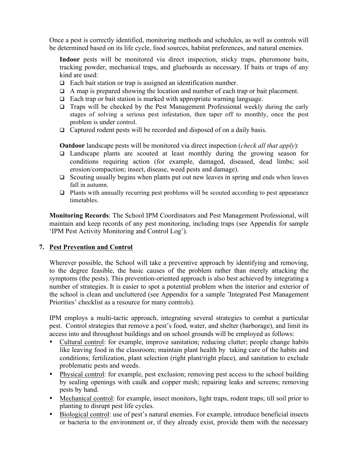Once a pest is correctly identified, monitoring methods and schedules, as well as controls will be determined based on its life cycle, food sources, habitat preferences, and natural enemies.

Indoor pests will be monitored via direct inspection, sticky traps, pheromone baits, tracking powder, mechanical traps, and glueboards as necessary. If baits or traps of any kind are used:

- $\Box$  Each bait station or trap is assigned an identification number.
- $\Box$  A map is prepared showing the location and number of each trap or bait placement.
- $\Box$  Each trap or bait station is marked with appropriate warning language.
- $\Box$  Traps will be checked by the Pest Management Professional weekly during the early stages of solving a serious pest infestation, then taper off to monthly, once the pest problem is under control.
- $\Box$  Captured rodent pests will be recorded and disposed of on a daily basis.

**Outdoor** landscape pests will be monitored via direct inspection (*check all that apply*):

- $\Box$  Landscape plants are scouted at least monthly during the growing season for conditions requiring action (for example, damaged, diseased, dead limbs; soil erosion/compaction; insect, disease, weed pests and damage).
- $\Box$  Scouting usually begins when plants put out new leaves in spring and ends when leaves fall in autumn.
- $\Box$  Plants with annually recurring pest problems will be scouted according to pest appearance timetables.

**Monitoring Records**: The School IPM Coordinators and Pest Management Professional, will maintain and keep records of any pest monitoring, including traps (see Appendix for sample 'IPM Pest Activity Monitoring and Control Log').

#### **7. Pest Prevention and Control**

Wherever possible, the School will take a preventive approach by identifying and removing, to the degree feasible, the basic causes of the problem rather than merely attacking the symptoms (the pests). This prevention-oriented approach is also best achieved by integrating a number of strategies. It is easier to spot a potential problem when the interior and exterior of the school is clean and uncluttered (see Appendix for a sample 'Integrated Pest Management Priorities' checklist as a resource for many controls).

IPM employs a multi-tactic approach, integrating several strategies to combat a particular pest. Control strategies that remove a pest's food, water, and shelter (harborage), and limit its access into and throughout buildings and on school grounds will be employed as follows:

- Cultural control: for example, improve sanitation; reducing clutter; people change habits like leaving food in the classroom; maintain plant health by taking care of the habits and conditions; fertilization, plant selection (right plant/right place), and sanitation to exclude problematic pests and weeds.
- Physical control: for example, pest exclusion; removing pest access to the school building by sealing openings with caulk and copper mesh; repairing leaks and screens; removing pests by hand.
- Mechanical control: for example, insect monitors, light traps, rodent traps; till soil prior to planting to disrupt pest life cycles.
- Biological control: use of pest's natural enemies. For example, introduce beneficial insects or bacteria to the environment or, if they already exist, provide them with the necessary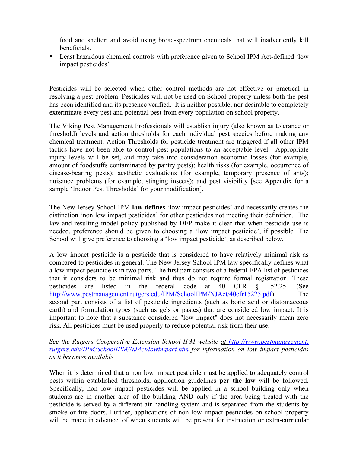food and shelter; and avoid using broad-spectrum chemicals that will inadvertently kill beneficials.

• Least hazardous chemical controls with preference given to School IPM Act-defined 'low impact pesticides'.

Pesticides will be selected when other control methods are not effective or practical in resolving a pest problem. Pesticides will not be used on School property unless both the pest has been identified and its presence verified. It is neither possible, nor desirable to completely exterminate every pest and potential pest from every population on school property.

The Viking Pest Management Professionals will establish injury (also known as tolerance or threshold) levels and action thresholds for each individual pest species before making any chemical treatment. Action Thresholds for pesticide treatment are triggered if all other IPM tactics have not been able to control pest populations to an acceptable level. Appropriate injury levels will be set, and may take into consideration economic losses (for example, amount of foodstuffs contaminated by pantry pests); health risks (for example, occurrence of disease-bearing pests); aesthetic evaluations (for example, temporary presence of ants); nuisance problems (for example, stinging insects); and pest visibility [see Appendix for a sample 'Indoor Pest Thresholds' for your modification].

The New Jersey School IPM **law defines** 'low impact pesticides' and necessarily creates the distinction 'non low impact pesticides' for other pesticides not meeting their definition. The law and resulting model policy published by DEP make it clear that when pesticide use is needed, preference should be given to choosing a 'low impact pesticide', if possible. The School will give preference to choosing a 'low impact pesticide', as described below.

A low impact pesticide is a pesticide that is considered to have relatively minimal risk as compared to pesticides in general. The New Jersey School IPM law specifically defines what a low impact pesticide is in two parts. The first part consists of a federal EPA list of pesticides that it considers to be minimal risk and thus do not require formal registration. These pesticides are listed in the federal code at 40 CFR § 152.25. (See http://www.pestmanagement.rutgers.edu/IPM/SchoolIPM/NJAct/40cfr15225.pdf). The second part consists of a list of pesticide ingredients (such as boric acid or diatomaceous earth) and formulation types (such as gels or pastes) that are considered low impact. It is important to note that a substance considered "low impact" does not necessarily mean zero risk. All pesticides must be used properly to reduce potential risk from their use.

*See the Rutgers Cooperative Extension School IPM website at http://www.pestmanagement. rutgers.edu/IPM/SchoolIPM/NJAct/lowimpact.htm for information on low impact pesticides as it becomes available.* 

When it is determined that a non low impact pesticide must be applied to adequately control pests within established thresholds, application guidelines **per the law** will be followed. Specifically, non low impact pesticides will be applied in a school building only when students are in another area of the building AND only if the area being treated with the pesticide is served by a different air handling system and is separated from the students by smoke or fire doors. Further, applications of non low impact pesticides on school property will be made in advance of when students will be present for instruction or extra-curricular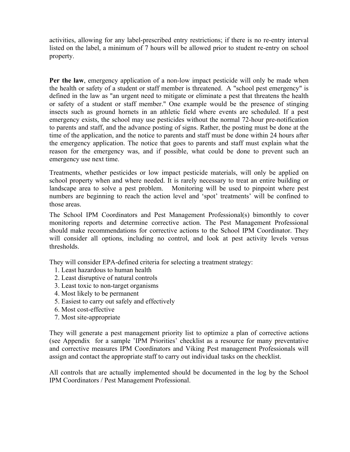activities, allowing for any label-prescribed entry restrictions; if there is no re-entry interval listed on the label, a minimum of 7 hours will be allowed prior to student re-entry on school property.

**Per the law**, emergency application of a non-low impact pesticide will only be made when the health or safety of a student or staff member is threatened. A "school pest emergency" is defined in the law as "an urgent need to mitigate or eliminate a pest that threatens the health or safety of a student or staff member." One example would be the presence of stinging insects such as ground hornets in an athletic field where events are scheduled. If a pest emergency exists, the school may use pesticides without the normal 72-hour pre-notification to parents and staff, and the advance posting of signs. Rather, the posting must be done at the time of the application, and the notice to parents and staff must be done within 24 hours after the emergency application. The notice that goes to parents and staff must explain what the reason for the emergency was, and if possible, what could be done to prevent such an emergency use next time.

Treatments, whether pesticides or low impact pesticide materials, will only be applied on school property when and where needed. It is rarely necessary to treat an entire building or landscape area to solve a pest problem. Monitoring will be used to pinpoint where pest numbers are beginning to reach the action level and 'spot' treatments' will be confined to those areas.

The School IPM Coordinators and Pest Management Professional(s) bimonthly to cover monitoring reports and determine corrective action. The Pest Management Professional should make recommendations for corrective actions to the School IPM Coordinator. They will consider all options, including no control, and look at pest activity levels versus thresholds.

They will consider EPA-defined criteria for selecting a treatment strategy:

- 1. Least hazardous to human health
- 2. Least disruptive of natural controls
- 3. Least toxic to non-target organisms
- 4. Most likely to be permanent
- 5. Easiest to carry out safely and effectively
- 6. Most cost-effective
- 7. Most site-appropriate

They will generate a pest management priority list to optimize a plan of corrective actions (see Appendix for a sample 'IPM Priorities' checklist as a resource for many preventative and corrective measures IPM Coordinators and Viking Pest management Professionals will assign and contact the appropriate staff to carry out individual tasks on the checklist.

All controls that are actually implemented should be documented in the log by the School IPM Coordinators / Pest Management Professional.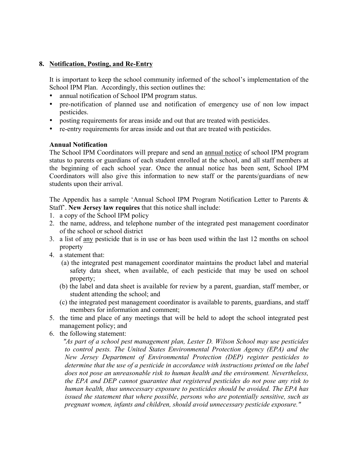#### **8. Notification, Posting, and Re-Entry**

It is important to keep the school community informed of the school's implementation of the School IPM Plan. Accordingly, this section outlines the:

- annual notification of School IPM program status.
- pre-notification of planned use and notification of emergency use of non low impact pesticides.
- posting requirements for areas inside and out that are treated with pesticides.
- re-entry requirements for areas inside and out that are treated with pesticides.

#### **Annual Notification**

The School IPM Coordinators will prepare and send an annual notice of school IPM program status to parents or guardians of each student enrolled at the school, and all staff members at the beginning of each school year. Once the annual notice has been sent, School IPM Coordinators will also give this information to new staff or the parents/guardians of new students upon their arrival.

The Appendix has a sample 'Annual School IPM Program Notification Letter to Parents & Staff'. **New Jersey law requires** that this notice shall include:

- 1. a copy of the School IPM policy
- 2. the name, address, and telephone number of the integrated pest management coordinator of the school or school district
- 3. a list of any pesticide that is in use or has been used within the last 12 months on school property
- 4. a statement that:
	- (a) the integrated pest management coordinator maintains the product label and material safety data sheet, when available, of each pesticide that may be used on school property;
	- (b) the label and data sheet is available for review by a parent, guardian, staff member, or student attending the school; and
	- (c) the integrated pest management coordinator is available to parents, guardians, and staff members for information and comment;
- 5. the time and place of any meetings that will be held to adopt the school integrated pest management policy; and
- 6. the following statement:

 *"As part of a school pest management plan, Lester D. Wilson School may use pesticides to control pests. The United States Environmental Protection Agency (EPA) and the New Jersey Department of Environmental Protection (DEP) register pesticides to determine that the use of a pesticide in accordance with instructions printed on the label does not pose an unreasonable risk to human health and the environment. Nevertheless, the EPA and DEP cannot guarantee that registered pesticides do not pose any risk to human health, thus unnecessary exposure to pesticides should be avoided. The EPA has issued the statement that where possible, persons who are potentially sensitive, such as pregnant women, infants and children, should avoid unnecessary pesticide exposure."*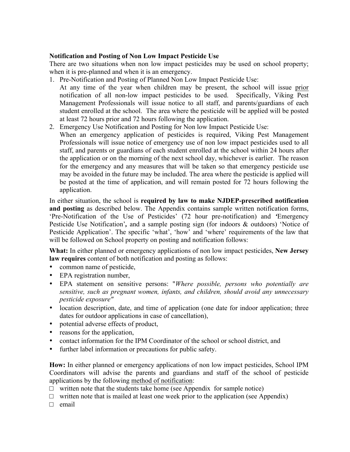#### **Notification and Posting of Non Low Impact Pesticide Use**

There are two situations when non low impact pesticides may be used on school property; when it is pre-planned and when it is an emergency.

1. Pre-Notification and Posting of Planned Non Low Impact Pesticide Use:

At any time of the year when children may be present, the school will issue prior notification of all non-low impact pesticides to be used. Specifically, Viking Pest Management Professionals will issue notice to all staff, and parents/guardians of each student enrolled at the school. The area where the pesticide will be applied will be posted at least 72 hours prior and 72 hours following the application.

2. Emergency Use Notification and Posting for Non low Impact Pesticide Use:

When an emergency application of pesticides is required, Viking Pest Management Professionals will issue notice of emergency use of non low impact pesticides used to all staff, and parents or guardians of each student enrolled at the school within 24 hours after the application or on the morning of the next school day, whichever is earlier. The reason for the emergency and any measures that will be taken so that emergency pesticide use may be avoided in the future may be included. The area where the pesticide is applied will be posted at the time of application, and will remain posted for 72 hours following the application.

In either situation, the school is **required by law to make NJDEP-prescribed notification and posting** as described below. The Appendix contains sample written notification forms, 'Pre-Notification of the Use of Pesticides' (72 hour pre-notification) and *'*Emergency Pesticide Use Notification'*,* and a sample posting sign (for indoors & outdoors) 'Notice of Pesticide Application'. The specific 'what', 'how' and 'where' requirements of the law that will be followed on School property on posting and notification follows:

**What:** In either planned or emergency applications of non low impact pesticides, **New Jersey law requires** content of both notification and posting as follows:

- common name of pesticide,
- EPA registration number,
- EPA statement on sensitive persons: "*Where possible, persons who potentially are sensitive, such as pregnant women, infants, and children, should avoid any unnecessary pesticide exposure"*
- location description, date, and time of application (one date for indoor application; three dates for outdoor applications in case of cancellation),
- potential adverse effects of product,
- reasons for the application,
- contact information for the IPM Coordinator of the school or school district, and
- further label information or precautions for public safety.

**How:** In either planned or emergency applications of non low impact pesticides, School IPM Coordinators will advise the parents and guardians and staff of the school of pesticide applications by the following method of notification:

 $\Box$  written note that the students take home (see Appendix for sample notice)

 $\Box$  written note that is mailed at least one week prior to the application (see Appendix)

 $\Box$  email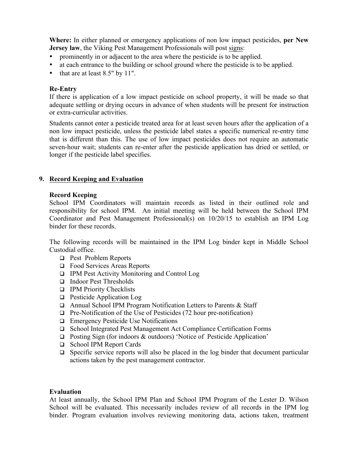**Where:** In either planned or emergency applications of non low impact pesticides, **per New Jersey law, the Viking Pest Management Professionals will post signs:** 

- prominently in or adjacent to the area where the pesticide is to be applied.
- at each entrance to the building or school ground where the pesticide is to be applied.
- that are at least 8.5" by 11".

#### **Re-Entry**

If there is application of a low impact pesticide on school property, it will be made so that adequate settling or drying occurs in advance of when students will be present for instruction or extra-curricular activities.

Students cannot enter a pesticide treated area for at least seven hours after the application of a non low impact pesticide, unless the pesticide label states a specific numerical re-entry time that is different than this. The use of low impact pesticides does not require an automatic seven-hour wait; students can re-enter after the pesticide application has dried or settled, or longer if the pesticide label specifies.

#### **9. Record Keeping and Evaluation**

#### **Record Keeping**

School IPM Coordinators will maintain records as listed in their outlined role and responsibility for school IPM. An initial meeting will be held between the School IPM Coordinator and Pest Management Professional(s) on 10/20/15 to establish an IPM Log binder for these records.

The following records will be maintained in the IPM Log binder kept in Middle School Custodial office.

- □ Pest Problem Reports
- $\Box$  Food Services Areas Reports
- **Q** IPM Pest Activity Monitoring and Control Log
- □ Indoor Pest Thresholds
- **Q** IPM Priority Checklists
- $\Box$  Pesticide Application Log
- $\Box$  Annual School IPM Program Notification Letters to Parents & Staff
- $\Box$  Pre-Notification of the Use of Pesticides (72 hour pre-notification)
- $\Box$  Emergency Pesticide Use Notifications
- □ School Integrated Pest Management Act Compliance Certification Forms
- $\Box$  Posting Sign (for indoors & outdoors) 'Notice of Pesticide Application'
- □ School IPM Report Cards
- $\Box$  Specific service reports will also be placed in the log binder that document particular actions taken by the pest management contractor.

#### **Evaluation**

At least annually, the School IPM Plan and School IPM Program of the Lester D. Wilson School will be evaluated. This necessarily includes review of all records in the IPM log binder. Program evaluation involves reviewing monitoring data, actions taken, treatment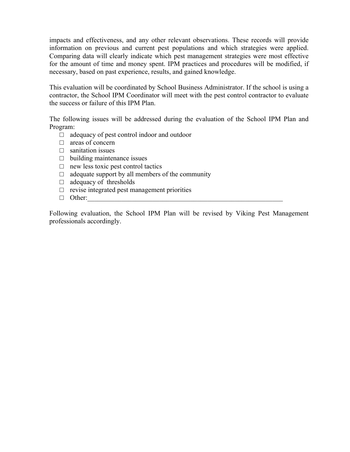impacts and effectiveness, and any other relevant observations. These records will provide information on previous and current pest populations and which strategies were applied. Comparing data will clearly indicate which pest management strategies were most effective for the amount of time and money spent. IPM practices and procedures will be modified, if necessary, based on past experience, results, and gained knowledge.

This evaluation will be coordinated by School Business Administrator. If the school is using a contractor, the School IPM Coordinator will meet with the pest control contractor to evaluate the success or failure of this IPM Plan.

The following issues will be addressed during the evaluation of the School IPM Plan and Program:

- $\Box$  adequacy of pest control indoor and outdoor
- □ areas of concern
- $\Box$  sanitation issues
- $\Box$  building maintenance issues
- $\Box$  new less toxic pest control tactics
- $\Box$  adequate support by all members of the community
- $\Box$  adequacy of thresholds
- $\square$  revise integrated pest management priorities
- $\Box$  Other:

Following evaluation, the School IPM Plan will be revised by Viking Pest Management professionals accordingly.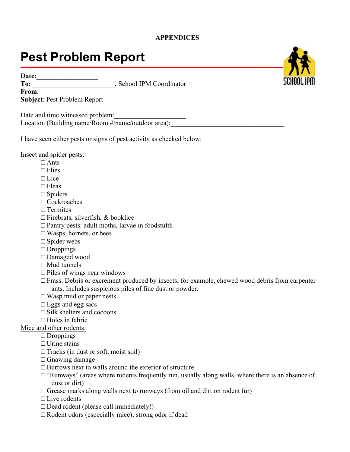#### **APPENDICES**

# **Pest Problem Report**

Date:

To: \_\_\_\_\_\_\_\_\_\_\_\_\_\_\_\_\_\_\_\_\_\_\_\_\_, School IPM Coordinator

From: **Subject**: Pest Problem Report

Date and time witnessed problem: Location (Building name/Room  $\#/name/outdoor$  area):

I have seen either pests or signs of pest activity as checked below:

Insect and spider pests:

- □ Ants
- $\Box$  Flies
- $\Box$  Lice
- □ Fleas
- □ Spiders
- □ Cockroaches
- $\Box$  Termites
- $\Box$  Firebrats, silverfish, & booklice
- $\Box$  Pantry pests: adult moths, larvae in foodstuffs
- $\square$  Wasps, hornets, or bees
- □ Spider webs
- □ Droppings
- □ Damaged wood
- $\Box$  Mud tunnels
- $\square$  Piles of wings near windows
- $\square$  Frass: Debris or excrement produced by insects; for example, chewed wood debris from carpenter ants. Includes suspicious piles of fine dust or powder.
- $\Box$  Wasp mud or paper nests
- $\square$  Eggs and egg sacs
- $\Box$  Silk shelters and cocoons

□ Holes in fabric

#### Mice and other rodents:

- □ Droppings
- □ Urine stains
- $\Box$  Tracks (in dust or soft, moist soil)
- $\Box$  Gnawing damage
- $\Box$  Burrows next to walls around the exterior of structure
- $\square$  "Runways" (areas where rodents frequently run, usually along walls, where there is an absence of dust or dirt)
- $\Box$  Grease marks along walls next to runways (from oil and dirt on rodent fur)
- $\Box$  Live rodents
- $\Box$  Dead rodent (please call immediately!)
- $\Box$  Rodent odors (especially mice); strong odor if dead